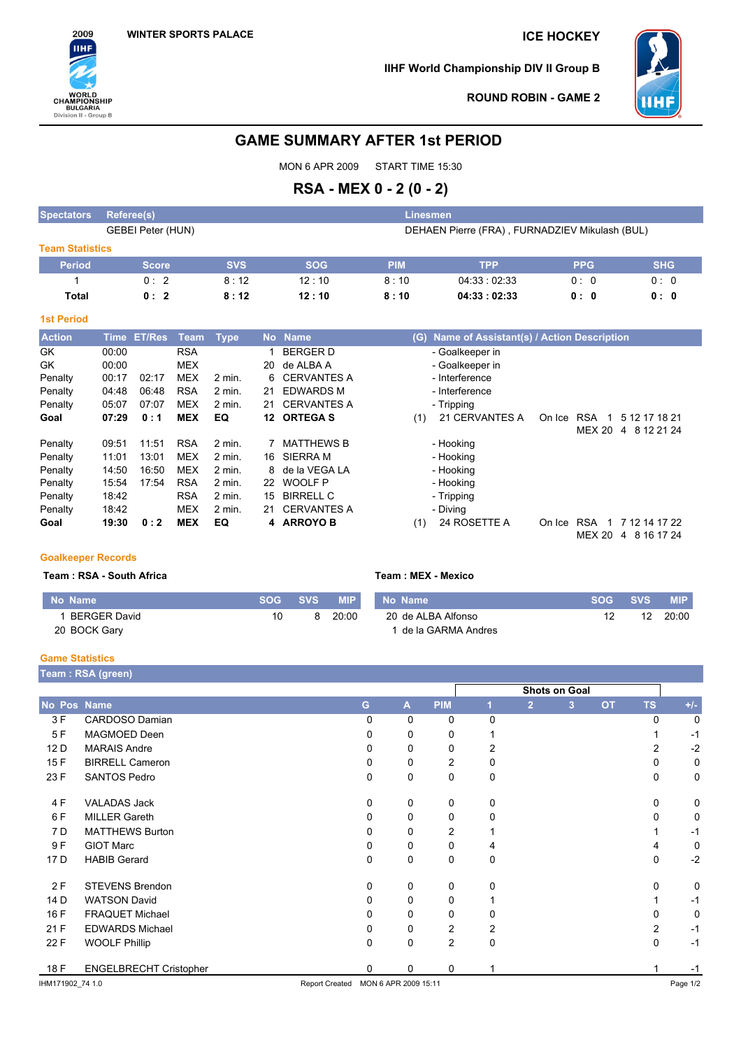

**IIHF World Championship DIV II Group B**



**ROUND ROBIN - GAME 2**

# **GAME SUMMARY AFTER 1st PERIOD**

MON 6 APR 2009 START TIME 15:30

# **RSA - MEX 0 - 2 (0 - 2)**

| <b>Spectators</b>      | Referee(s)        |            |            |                                                | Linesmen    |             |            |  |  |  |  |
|------------------------|-------------------|------------|------------|------------------------------------------------|-------------|-------------|------------|--|--|--|--|
|                        | GEBEI Peter (HUN) |            |            | DEHAEN Pierre (FRA), FURNADZIEV Mikulash (BUL) |             |             |            |  |  |  |  |
| <b>Team Statistics</b> |                   |            |            |                                                |             |             |            |  |  |  |  |
| <b>Period</b>          | <b>Score</b>      | <b>SVS</b> | <b>SOG</b> | <b>PIM</b>                                     | <b>TPP</b>  | <b>PPG</b>  | <b>SHG</b> |  |  |  |  |
|                        | 0:2               | 8:12       | 12:10      | 8:10                                           | 04:33:02:33 | $0 \cdot 0$ | 0:0        |  |  |  |  |
| Total                  | 0:2               | 8:12       | 12:10      | 8:10                                           | 04:33:02:33 | 0:0         | 0:0        |  |  |  |  |

## **1st Period**

| <b>Action</b> | <b>Time</b> | <b>ET/Res</b> | Team       | Type     | <b>No</b> | <b>Name</b>        | Name of Assistant(s) / Action Description<br>(G)               |
|---------------|-------------|---------------|------------|----------|-----------|--------------------|----------------------------------------------------------------|
| GK            | 00:00       |               | <b>RSA</b> |          |           | <b>BERGER D</b>    | - Goalkeeper in                                                |
| GK            | 00:00       |               | <b>MEX</b> |          | 20        | de ALBA A          | - Goalkeeper in                                                |
| Penalty       | 00:17       | 02:17         | <b>MEX</b> | 2 min.   |           | 6 CERVANTES A      | - Interference                                                 |
| Penalty       | 04:48       | 06:48         | <b>RSA</b> | $2$ min. | 21        | <b>EDWARDS M</b>   | - Interference                                                 |
| Penalty       | 05:07       | 07:07         | <b>MEX</b> | $2$ min. | 21        | <b>CERVANTES A</b> | - Tripping                                                     |
| Goal          | 07:29       | 0:1           | <b>MEX</b> | EQ       | 12        | <b>ORTEGA S</b>    | 21 CERVANTES A<br><b>RSA</b><br>(1)<br>5 12 17 18 21<br>On Ice |
|               |             |               |            |          |           |                    | MEX 20<br>8 12 21 24<br>4                                      |
| Penalty       | 09:51       | 11:51         | <b>RSA</b> | $2$ min. |           | MATTHEWS B         | - Hooking                                                      |
| Penalty       | 11:01       | 13:01         | <b>MEX</b> | $2$ min. | 16.       | <b>SIERRA M</b>    | - Hooking                                                      |
| Penalty       | 14:50       | 16:50         | <b>MEX</b> | $2$ min. |           | 8 de la VEGA LA    | - Hooking                                                      |
| Penalty       | 15:54       | 17:54         | <b>RSA</b> | $2$ min. | 22        | <b>WOOLF P</b>     | - Hooking                                                      |
| Penalty       | 18:42       |               | <b>RSA</b> | $2$ min. | 15        | <b>BIRRELL C</b>   | - Tripping                                                     |
| Penalty       | 18:42       |               | <b>MEX</b> | $2$ min. | 21        | <b>CERVANTES A</b> | - Diving                                                       |
| Goal          | 19:30       | 0:2           | <b>MEX</b> | EQ       |           | 4 ARROYO B         | 24 ROSETTE A<br><b>RSA</b><br>7 12 14 17 22<br>(1)<br>On Ice   |
|               |             |               |            |          |           |                    | MEX 20 4<br>8 16 17 24                                         |

## **Goalkeeper Records**

**Team : RSA - South Africa Team : MEX - Mexico**

| No Name             | SOG ' | <b>SVS</b> | <b>MIP</b> | No Name            | <b>SOG</b> | SVS 4 | <b>MIP</b> |
|---------------------|-------|------------|------------|--------------------|------------|-------|------------|
| <b>BERGER David</b> | 10    | 8          | 20:00      | 20 de ALBA Alfonso |            | 12    | 20:00      |
| 20 BOCK Gary        |       |            |            | de la GARMA Andres |            |       |            |

# **Game Statistics**

I

|                  | Team: RSA (green)             |                       |                      |                |   |                      |                |           |           |          |  |  |  |
|------------------|-------------------------------|-----------------------|----------------------|----------------|---|----------------------|----------------|-----------|-----------|----------|--|--|--|
|                  |                               |                       |                      |                |   | <b>Shots on Goal</b> |                |           |           |          |  |  |  |
| No Pos Name      |                               | G                     | $\mathsf{A}$         | <b>PIM</b>     |   | $\overline{2}$       | 3 <sup>2</sup> | <b>OT</b> | <b>TS</b> | $+/-$    |  |  |  |
| 3 F              | CARDOSO Damian                | 0                     | $\Omega$             | 0              | 0 |                      |                |           | $\Omega$  | 0        |  |  |  |
| 5F               | MAGMOED Deen                  | 0                     | 0                    | 0              |   |                      |                |           |           | $-1$     |  |  |  |
| 12 D             | <b>MARAIS Andre</b>           |                       | 0                    | 0              | 2 |                      |                |           | 2         | $-2$     |  |  |  |
| 15F              | <b>BIRRELL Cameron</b>        | 0                     | 0                    | 2              | 0 |                      |                |           |           | 0        |  |  |  |
| 23 F             | <b>SANTOS Pedro</b>           | 0                     | 0                    | $\mathbf 0$    | 0 |                      |                |           | 0         | 0        |  |  |  |
| 4 F              | <b>VALADAS Jack</b>           | $\Omega$              | 0                    | 0              | 0 |                      |                |           | $\Omega$  | 0        |  |  |  |
| 6 F              | <b>MILLER Gareth</b>          | 0                     | 0                    | 0              | 0 |                      |                |           | 0         | 0        |  |  |  |
| 7 D              | <b>MATTHEWS Burton</b>        | 0                     | 0                    | $\overline{2}$ |   |                      |                |           |           | $-1$     |  |  |  |
| 9 F              | <b>GIOT Marc</b>              | <sup>0</sup>          | 0                    | 0              | 4 |                      |                |           | 4         | 0        |  |  |  |
| 17 D             | <b>HABIB Gerard</b>           | 0                     | 0                    | $\mathbf 0$    | 0 |                      |                |           | 0         | $-2$     |  |  |  |
| 2F               | <b>STEVENS Brendon</b>        | 0                     | 0                    | $\mathbf 0$    | 0 |                      |                |           | 0         | 0        |  |  |  |
| 14 D             | <b>WATSON David</b>           | 0                     | 0                    | 0              |   |                      |                |           |           | $-1$     |  |  |  |
| 16 F             | <b>FRAQUET Michael</b>        |                       | 0                    | 0              | 0 |                      |                |           | U         | 0        |  |  |  |
| 21 F             | <b>EDWARDS Michael</b>        |                       | 0                    | 2              | 2 |                      |                |           | 2         | $-1$     |  |  |  |
| 22 F             | <b>WOOLF Phillip</b>          | $\Omega$              | 0                    | $\overline{2}$ | 0 |                      |                |           | $\Omega$  | $-1$     |  |  |  |
| 18 F             | <b>ENGELBRECHT Cristopher</b> | $\Omega$              | 0                    | $\Omega$       |   |                      |                |           |           | $-1$     |  |  |  |
| IHM171902 74 1.0 |                               | <b>Report Created</b> | MON 6 APR 2009 15:11 |                |   |                      |                |           |           | Page 1/2 |  |  |  |